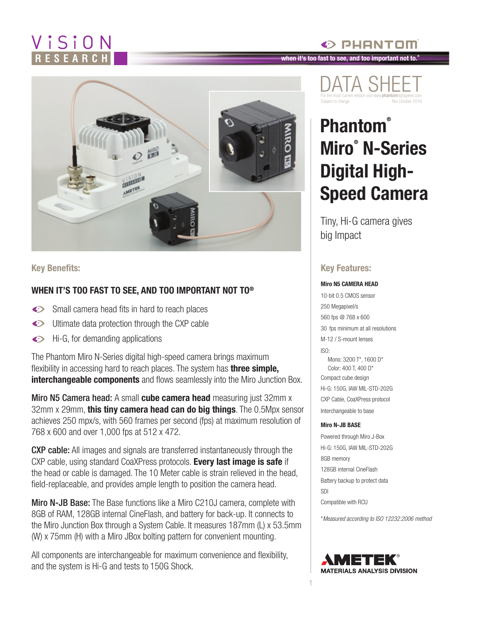## ViSiON

# $\frac{2}{3}$ **HELEN**

#### **Key Benefits:**

#### **WHEN IT'S TOO FAST TO SEE, AND TOO IMPORTANT NOT TO®**

- Small camera head fits in hard to reach places
- $\bullet$ Ultimate data protection through the CXP cable
- Hi-G, for demanding applications  $\bullet$

The Phantom Miro N-Series digital high-speed camera brings maximum flexibility in accessing hard to reach places. The system has **three simple, interchangeable components** and flows seamlessly into the Miro Junction Box.

Miro N5 Camera head: A small **cube camera head** measuring just 32mm x 32mm x 29mm, **this tiny camera head can do big things**. The 0.5Mpx sensor achieves 250 mpx/s, with 560 frames per second (fps) at maximum resolution of 768 x 600 and over 1,000 fps at 512 x 472.

CXP cable: All images and signals are transferred instantaneously through the CXP cable, using standard CoaXPress protocols. **Every last image is safe** if the head or cable is damaged. The 10 Meter cable is strain relieved in the head, field-replaceable, and provides ample length to position the camera head.

**Miro N-JB Base:** The Base functions like a Miro C210J camera, complete with 8GB of RAM, 128GB internal CineFlash, and battery for back-up. It connects to the Miro Junction Box through a System Cable. It measures 187mm (L) x 53.5mm (W) x 75mm (H) with a Miro JBox bolting pattern for convenient mounting.

All components are interchangeable for maximum convenience and flexibility, and the system is Hi-G and tests to 150G Shock.

#### **when it's too fast to see, and too important not to.®**



 $\odot$  PHANTOM

### **Phantom® Miro® N-Series Digital High-Speed Camera**

Tiny, Hi-G camera gives big Impact

#### **Key Features:**

#### **Miro N5 CAMERA HEAD**

10-bit 0.5 CMOS sensor 250 Megapixel/s 560 fps @ 768 x 600 30 fps minimum at all resolutions M-12 / S-mount lenses ISO: Mono: 3200 T\*, 1600 D\* Color: 400 T, 400 D\*

Compact cube design Hi-G: 150G, IAW MIL-STD-202G CXP Cable, CoaXPress protocol Interchangeable to base

#### **Miro N-JB BASE**

Powered through Miro J-Box Hi-G: 150G, IAW MIL-STD-202G 8GB memory 128GB internal CineFlash Battery backup to protect data SDI Compatible with RCU

\**Measured according to ISO 12232:2006 method*



1